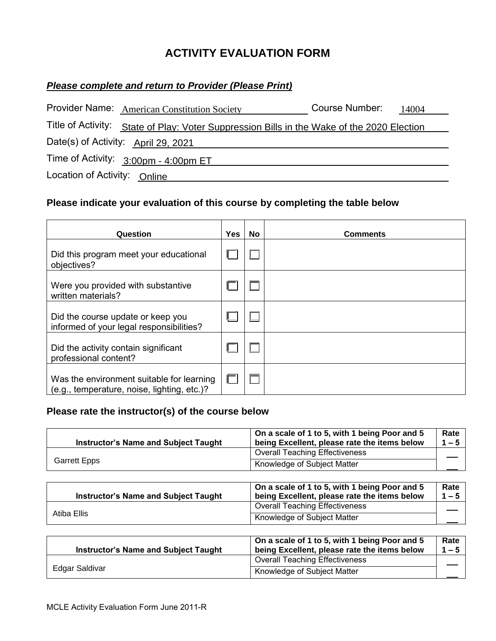## **ACTIVITY EVALUATION FORM**

## *Please complete and return to Provider (Please Print)*

|                              | Provider Name: American Constitution Society                                               | Course Number: | 14004 |
|------------------------------|--------------------------------------------------------------------------------------------|----------------|-------|
|                              | Title of Activity: State of Play: Voter Suppression Bills in the Wake of the 2020 Election |                |       |
|                              | Date(s) of Activity: April 29, 2021                                                        |                |       |
|                              | Time of Activity: $3:00 \text{pm} - 4:00 \text{pm ET}$                                     |                |       |
| Location of Activity: Online |                                                                                            |                |       |

## **Please indicate your evaluation of this course by completing the table below**

| Question                                                                                 | <b>Yes</b> | No | <b>Comments</b> |
|------------------------------------------------------------------------------------------|------------|----|-----------------|
| Did this program meet your educational<br>objectives?                                    |            |    |                 |
| Were you provided with substantive<br>written materials?                                 |            |    |                 |
| Did the course update or keep you<br>informed of your legal responsibilities?            |            |    |                 |
| Did the activity contain significant<br>professional content?                            |            |    |                 |
| Was the environment suitable for learning<br>(e.g., temperature, noise, lighting, etc.)? |            |    |                 |

## **Please rate the instructor(s) of the course below**

| <b>Instructor's Name and Subject Taught</b> | On a scale of 1 to 5, with 1 being Poor and 5<br>being Excellent, please rate the items below | Rate<br>$1 - 5$ |
|---------------------------------------------|-----------------------------------------------------------------------------------------------|-----------------|
| Garrett Epps                                | <b>Overall Teaching Effectiveness</b>                                                         |                 |
|                                             | Knowledge of Subject Matter                                                                   |                 |

|             | <b>Instructor's Name and Subject Taught</b> | On a scale of 1 to 5, with 1 being Poor and 5<br>being Excellent, please rate the items below | Rate<br>$1 - 5$ |
|-------------|---------------------------------------------|-----------------------------------------------------------------------------------------------|-----------------|
| Atiba Ellis |                                             | <b>Overall Teaching Effectiveness</b>                                                         |                 |
|             |                                             | Knowledge of Subject Matter                                                                   |                 |

| <b>Instructor's Name and Subject Taught</b> | On a scale of 1 to 5, with 1 being Poor and 5<br>being Excellent, please rate the items below | Rate<br>$1 - 5$ |
|---------------------------------------------|-----------------------------------------------------------------------------------------------|-----------------|
|                                             | <b>Overall Teaching Effectiveness</b>                                                         |                 |
| Edgar Saldivar                              | Knowledge of Subject Matter                                                                   |                 |